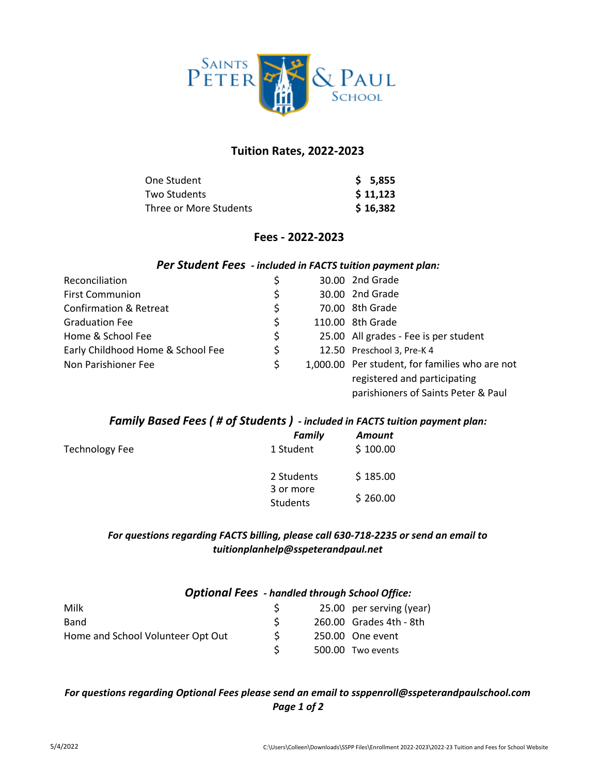

## **Tuition Rates, 2022-2023**

| One Student            | \$5,855  |
|------------------------|----------|
| Two Students           | \$11,123 |
| Three or More Students | \$16,382 |

## **Fees - 2022-2023**

### *Per Student Fees - included in FACTS tuition payment plan:*

| Reconciliation                    |    | 30.00 2nd Grade                                                                                                       |
|-----------------------------------|----|-----------------------------------------------------------------------------------------------------------------------|
| <b>First Communion</b>            | \$ | 30.00 2nd Grade                                                                                                       |
| Confirmation & Retreat            | \$ | 70.00 8th Grade                                                                                                       |
| <b>Graduation Fee</b>             | \$ | 110.00 8th Grade                                                                                                      |
| Home & School Fee                 | \$ | 25.00 All grades - Fee is per student                                                                                 |
| Early Childhood Home & School Fee | \$ | 12.50 Preschool 3, Pre-K 4                                                                                            |
| Non Parishioner Fee               | \$ | 1,000.00 Per student, for families who are not<br>registered and participating<br>parishioners of Saints Peter & Paul |

## *Family Based Fees ( # of Students ) - included in FACTS tuition payment plan:*

|                | <b>Family</b>   | Amount   |  |
|----------------|-----------------|----------|--|
| Technology Fee | 1 Student       | \$100.00 |  |
|                | 2 Students      | \$185.00 |  |
|                | 3 or more       |          |  |
|                | <b>Students</b> | \$260.00 |  |

## *For questions regarding FACTS billing, please call 630-718-2235 or send an email to tuitionplanhelp@sspeterandpaul.net*

#### *Optional Fees - handled through School Office:*

| Milk                              |  | 25.00 per serving (year) |
|-----------------------------------|--|--------------------------|
| Band                              |  | 260.00 Grades 4th - 8th  |
| Home and School Volunteer Opt Out |  | 250.00 One event         |
|                                   |  | 500.00 Two events        |

## *Page 1 of 2 For questions regarding Optional Fees please send an email to ssppenroll@sspeterandpaulschool.com*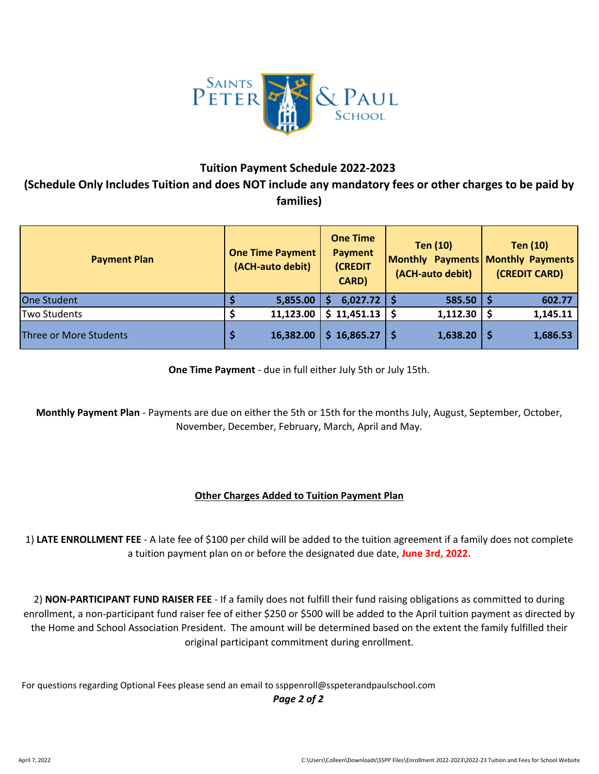

# **Tuition Payment Schedule 2022-2023 (Schedule Only Includes Tuition and does NOT include any mandatory fees or other charges to be paid by families)**

| <b>Payment Plan</b>    | <b>One Time Payment</b><br>(ACH-auto debit) | <b>One Time</b><br>Payment<br><b>(CREDIT</b><br><b>CARD</b> ) | Ten (10)<br>Monthly Payments Monthly Payments<br>(ACH-auto debit) | <b>Ten (10)</b><br>(CREDIT CARD) |
|------------------------|---------------------------------------------|---------------------------------------------------------------|-------------------------------------------------------------------|----------------------------------|
| <b>One Student</b>     | 5,855.00                                    | 6,027.72                                                      | 585.50                                                            | 602.77                           |
| Two Students           | 11,123.00                                   | $$11,451.13$ $$$                                              | 1,112.30                                                          | 1,145.11                         |
| Three or More Students | 16,382.00                                   | \$16,865.27                                                   | 1,638.20                                                          | 1,686.53                         |

**One Time Payment** - due in full either July 5th or July 15th.

**Monthly Payment Plan** - Payments are due on either the 5th or 15th for the months July, August, September, October, November, December, February, March, April and May.

### **Other Charges Added to Tuition Payment Plan**

1) **LATE ENROLLMENT FEE** - A late fee of \$100 per child will be added to the tuition agreement if a family does not complete a tuition payment plan on or before the designated due date, **June 3rd, 2022.** 

2) **NON-PARTICIPANT FUND RAISER FEE** - If a family does not fulfill their fund raising obligations as committed to during enrollment, a non-participant fund raiser fee of either \$250 or \$500 will be added to the April tuition payment as directed by the Home and School Association President. The amount will be determined based on the extent the family fulfilled their original participant commitment during enrollment.

For questions regarding Optional Fees please send an email to ssppenroll@sspeterandpaulschool.com